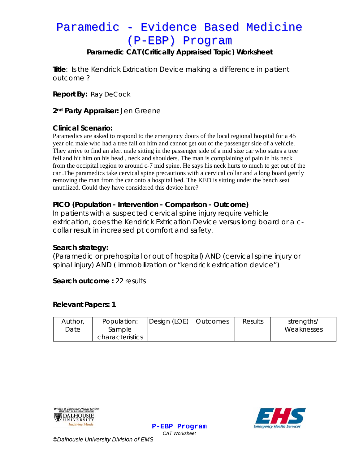# Paramedic - Evidence Based Medicine (P-EBP) Program

### **Paramedic CAT (Critically Appraised Topic) Worksheet**

**Title**: Is the Kendrick Extrication Device making a difference in patient outcome ?

**Report By:** Ray DeCock

**2nd Party Appraiser:** Jen Greene

#### **Clinical Scenario:**

Paramedics are asked to respond to the emergency doors of the local regional hospital for a 45 year old male who had a tree fall on him and cannot get out of the passenger side of a vehicle. They arrive to find an alert male sitting in the passenger side of a mid size car who states a tree fell and hit him on his head , neck and shoulders. The man is complaining of pain in his neck from the occipital region to around c-7 mid spine. He says his neck hurts to much to get out of the car .The paramedics take cervical spine precautions with a cervical collar and a long board gently removing the man from the car onto a hospital bed. The KED is sitting under the bench seat unutilized. Could they have considered this device here?

### **PICO (Population - Intervention - Comparison - Outcome)**

In patients with a suspected cervical spine injury require vehicle extrication, does the Kendrick Extrication Device versus long board or a ccollar result in increased pt comfort and safety.

#### **Search strategy:**

(Paramedic or prehospital or out of hospital) AND (cervical spine injury or spinal injury) AND ( immobilization or "kendrick extrication device")

#### **Search outcome :** 22 results

#### **Relevant Papers: 1**

| Author,<br>Date | Population:<br>Sample | Design (LOE) | Outcomes | Results | strengths/<br>Weaknesses |
|-----------------|-----------------------|--------------|----------|---------|--------------------------|
|                 | characteristics       |              |          |         |                          |

**P-EBP Program** *CAT Worksheet* 





*©Dalhousie University Division of EMS*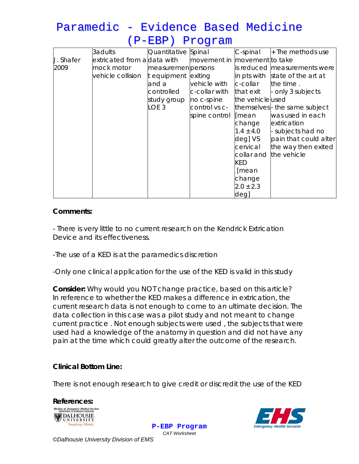| Paramedic - Evidence Based Medicine |                 |  |  |
|-------------------------------------|-----------------|--|--|
|                                     | (P-EBP) Program |  |  |

|                  | 3adults                     | Quantitative Spinal |               | C-spinal         | $+$ The methods use             |
|------------------|-----------------------------|---------------------|---------------|------------------|---------------------------------|
| <b>J. Shafer</b> | extricated from aldata with |                     | movement in   | movement to take |                                 |
| 2009             | mock motor                  | measuremen persons  |               |                  | is reduced measurements were    |
|                  | vehicle collision           | t equipment exiting |               |                  | in pts with state of the art at |
|                  |                             | and a               | vehicle with  | c-collar         | the time.                       |
|                  |                             | controlled          | c-collar with | that exit        | - only 3 subjects               |
|                  |                             | study group         | no c-spine    | the vehicle used |                                 |
|                  |                             | LOE <sub>3</sub>    | control vs c- |                  | themselves- the same subject    |
|                  |                             |                     | spine control | [mean            | was used in each                |
|                  |                             |                     |               | change           | extrication                     |
|                  |                             |                     |               | $1.4 \pm 4.0$    | subjects had no                 |
|                  |                             |                     |               | deg] VS          | pain that could alter           |
|                  |                             |                     |               | cervical         | the way then exited             |
|                  |                             |                     |               | collar and       | the vehicle                     |
|                  |                             |                     |               | KED              |                                 |
|                  |                             |                     |               | [mean            |                                 |
|                  |                             |                     |               | change           |                                 |
|                  |                             |                     |               | $2.0 \pm 2.3$    |                                 |
|                  |                             |                     |               | deg]             |                                 |

#### **Comments:**

- There is very little to no current research on the Kendrick Extrication Device and its effectiveness.

-The use of a KED is at the paramedics discretion

-Only one clinical application for the use of the KED is valid in this study

**Consider:** *Why would you NOT change practice, based on this article?* In reference to whether the KED makes a difference in extrication, the current research data is not enough to come to an ultimate decision. The data collection in this case was a pilot study and not meant to change current practice . Not enough subjects were used , the subjects that were used had a knowledge of the anatomy in question and did not have any pain at the time which could greatly alter the outcome of the research.

## **Clinical Bottom Line:**

There is not enough research to give credit or discredit the use of the KED





**P-EBP Program** *CAT Worksheet* 

*©Dalhousie University Division of EMS*